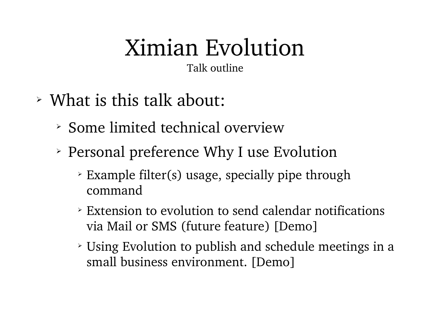Talk outline

- ➢ What is this talk about:
	- ➢ Some limited technical overview
	- ➢ Personal preference Why I use Evolution
		- ➢ Example filter(s) usage, specially pipe through command
		- ➢ Extension to evolution to send calendar notifications via Mail or SMS (future feature) [Demo]
		- ➢ Using Evolution to publish and schedule meetings in a small business environment. [Demo]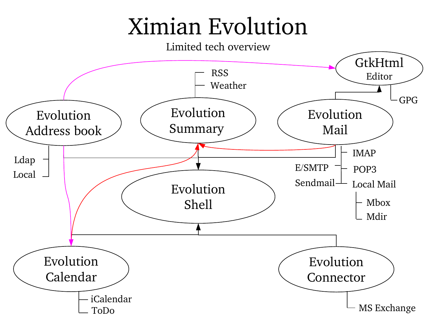#### Limited tech overview

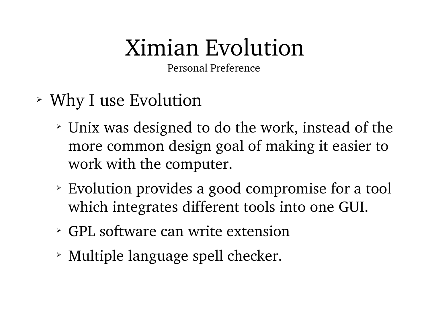Personal Preference

- ➢ Why I use Evolution
	- ➢ Unix was designed to do the work, instead of the more common design goal of making it easier to work with the computer.
	- ➢ Evolution provides a good compromise for a tool which integrates different tools into one GUI.
	- ➢ GPL software can write extension
	- ➢ Multiple language spell checker.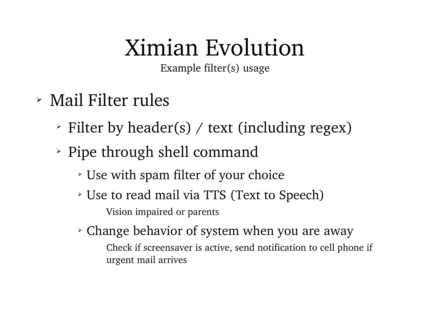Example filter(s) usage

- ➢ Mail Filter rules
	- ➢ Filter by header(s) / text (including regex)
	- ➢ Pipe through shell command
		- ➢ Use with spam filter of your choice
		- ➢ Use to read mail via TTS (Text to Speech) Vision impaired or parents
		- ➢ Change behavior of system when you are away Check if screensaver is active, send notification to cell phone if urgent mail arrives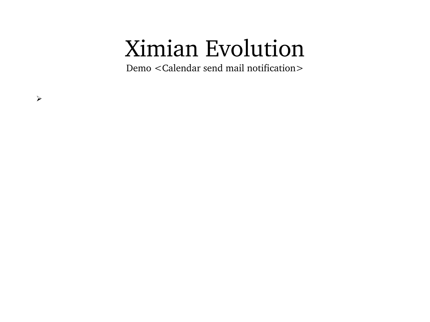Demo <Calendar send mail notification>

 $\blacktriangleright$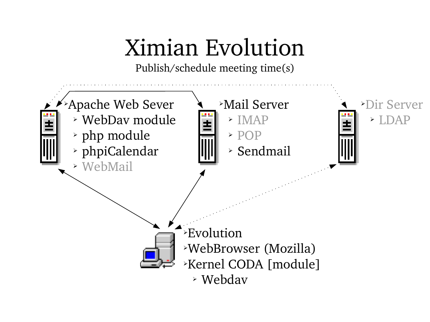Publish/schedule meeting time(s)

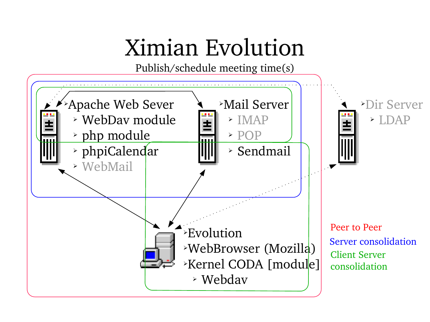Publish/schedule meeting time(s)

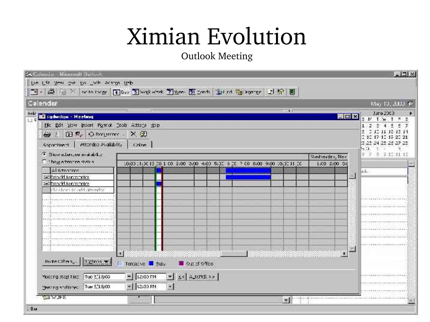Outlook Meeting

| Celendar                                       |                                                                            |              |     |                                  | May 10, 2000 66                                                         |
|------------------------------------------------|----------------------------------------------------------------------------|--------------|-----|----------------------------------|-------------------------------------------------------------------------|
|                                                | ш                                                                          |              | -11 |                                  | June 2003                                                               |
| anta<br>Mil sudwdaw - Meeting                  |                                                                            |              |     |                                  | $ \boxed{0}$ $\times$ $\boxed{y}$ $1$ $\times$ $1$ $\times$ $\boxed{3}$ |
| Elic Edit (209) (most Formal Cools Actions Ebp |                                                                            |              |     |                                  | 1 2 3 4 3 5 7<br>211 H E E H                                            |
| → 图 R, Oncurrence × 2                          |                                                                            |              |     |                                  | 1 10 17 10 17 20 21                                                     |
| sapartment   etterdopevalability   caline      |                                                                            |              |     |                                  | 23 24 25 25 27 25                                                       |
| F. Show abstract availablicy.                  |                                                                            |              |     |                                  | $C_2$ , $C_3$<br>$\pm$ 5 11 11 12                                       |
| Contententation                                | 10:00 11:00 12:00 1 00 2:00 3:00 4:00 5:00 3 00 7 00 8:00 9:00 10:00 11 00 |              |     | Wednesday, Max.<br>LiCO 2:00 3:0 |                                                                         |
| Alamares.                                      |                                                                            |              |     |                                  | ⊯a                                                                      |
| Shock broad Shock                              |                                                                            |              |     |                                  |                                                                         |
| Elteracklikuommeter.                           |                                                                            |              |     |                                  |                                                                         |
| checham të addantendar                         |                                                                            |              |     |                                  |                                                                         |
|                                                |                                                                            |              |     |                                  |                                                                         |
|                                                |                                                                            |              |     |                                  |                                                                         |
|                                                |                                                                            |              |     |                                  |                                                                         |
|                                                |                                                                            |              |     |                                  |                                                                         |
|                                                |                                                                            |              |     |                                  |                                                                         |
|                                                |                                                                            |              |     |                                  |                                                                         |
|                                                |                                                                            |              |     |                                  |                                                                         |
|                                                | $\bullet$                                                                  |              |     |                                  |                                                                         |
|                                                |                                                                            |              |     |                                  |                                                                         |
| increating. Extras will                        | Tontative <b>E</b> Eusy                                                    | Out office   |     |                                  |                                                                         |
| Mooding stagt time True E/18/03                | $= 12:00$ FM                                                               | Y SC ALCHBOY |     |                                  |                                                                         |
|                                                |                                                                            |              |     |                                  |                                                                         |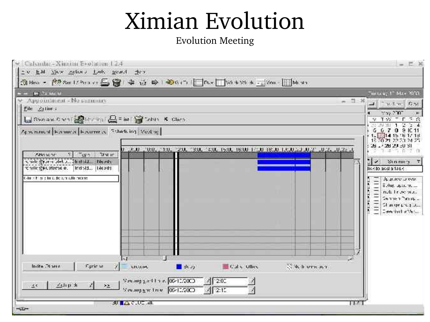#### Evolution Meeting

| messa, in Machini<br>– <del>ng</del> Salawan<br>Аррошінски - Мозновик<br>$-7.8$<br>The first Read<br>Eile Attines<br>$\mathbb{Z} \times \mathbb{Z} \times \mathbb{Z}$<br>La Banca and Distributed Labor Contract of Changes<br>$\gamma$ T $\gamma$ = t = $\alpha$<br>5, 6, 7, 0, 8, 10, 11<br>Acreminent Farmest Facurie at Ethetcing Vostoc-<br>15 50 ZI 22 ZO<br>26 26 23 EU SI<br><u>'uu, jiu, j2u, i3u, isu, i5u, i6u iftu i8tu i3tuta aja jata ja</u> eli<br>(3, 1)<br><b>CRIMMOR</b><br>$-412$<br><b>Stripper</b><br>terrate Sypremotel. June in challen Historical<br>Serings<br>₩.<br>rensterekuelerne e. Hindistal Hieleds<br>Design acct a 158 4<br>C-BB E-BERTH DECLAR BASE GREENLAND<br>Франс это<br>Evlop appeare<br>note the person of<br>Sentren Passpic<br>Charge program.<br>Ceremische Versu<br>India Direis<br><b>Controlled to the Second State</b><br>Ciric se<br>United.<br><b>Calle</b> Office<br>$-30$<br>State and government [06/12/2003]<br>4 200<br>$\mathcal{L}$<br>五山社出<br>$\mathbf{y}_{\Delta_{\mathrm{max}}}$<br>$\mathcal{L}^{\times}$ | ③ Mary - 朗Sut 1/200 ct 画窗 幸 奇 峰   ● 0.5  □ PLx  □% * ※ * 三 34m       Minut |                |
|-------------------------------------------------------------------------------------------------------------------------------------------------------------------------------------------------------------------------------------------------------------------------------------------------------------------------------------------------------------------------------------------------------------------------------------------------------------------------------------------------------------------------------------------------------------------------------------------------------------------------------------------------------------------------------------------------------------------------------------------------------------------------------------------------------------------------------------------------------------------------------------------------------------------------------------------------------------------------------------------------------------------------------------------------------------------------|----------------------------------------------------------------------------|----------------|
|                                                                                                                                                                                                                                                                                                                                                                                                                                                                                                                                                                                                                                                                                                                                                                                                                                                                                                                                                                                                                                                                         |                                                                            |                |
|                                                                                                                                                                                                                                                                                                                                                                                                                                                                                                                                                                                                                                                                                                                                                                                                                                                                                                                                                                                                                                                                         |                                                                            |                |
|                                                                                                                                                                                                                                                                                                                                                                                                                                                                                                                                                                                                                                                                                                                                                                                                                                                                                                                                                                                                                                                                         |                                                                            | $\blacksquare$ |
|                                                                                                                                                                                                                                                                                                                                                                                                                                                                                                                                                                                                                                                                                                                                                                                                                                                                                                                                                                                                                                                                         |                                                                            |                |
|                                                                                                                                                                                                                                                                                                                                                                                                                                                                                                                                                                                                                                                                                                                                                                                                                                                                                                                                                                                                                                                                         |                                                                            |                |
|                                                                                                                                                                                                                                                                                                                                                                                                                                                                                                                                                                                                                                                                                                                                                                                                                                                                                                                                                                                                                                                                         |                                                                            |                |
|                                                                                                                                                                                                                                                                                                                                                                                                                                                                                                                                                                                                                                                                                                                                                                                                                                                                                                                                                                                                                                                                         |                                                                            |                |
|                                                                                                                                                                                                                                                                                                                                                                                                                                                                                                                                                                                                                                                                                                                                                                                                                                                                                                                                                                                                                                                                         |                                                                            |                |
|                                                                                                                                                                                                                                                                                                                                                                                                                                                                                                                                                                                                                                                                                                                                                                                                                                                                                                                                                                                                                                                                         |                                                                            |                |
|                                                                                                                                                                                                                                                                                                                                                                                                                                                                                                                                                                                                                                                                                                                                                                                                                                                                                                                                                                                                                                                                         |                                                                            |                |
|                                                                                                                                                                                                                                                                                                                                                                                                                                                                                                                                                                                                                                                                                                                                                                                                                                                                                                                                                                                                                                                                         |                                                                            |                |
|                                                                                                                                                                                                                                                                                                                                                                                                                                                                                                                                                                                                                                                                                                                                                                                                                                                                                                                                                                                                                                                                         |                                                                            |                |
|                                                                                                                                                                                                                                                                                                                                                                                                                                                                                                                                                                                                                                                                                                                                                                                                                                                                                                                                                                                                                                                                         |                                                                            |                |
|                                                                                                                                                                                                                                                                                                                                                                                                                                                                                                                                                                                                                                                                                                                                                                                                                                                                                                                                                                                                                                                                         |                                                                            |                |
|                                                                                                                                                                                                                                                                                                                                                                                                                                                                                                                                                                                                                                                                                                                                                                                                                                                                                                                                                                                                                                                                         |                                                                            |                |
|                                                                                                                                                                                                                                                                                                                                                                                                                                                                                                                                                                                                                                                                                                                                                                                                                                                                                                                                                                                                                                                                         |                                                                            |                |
|                                                                                                                                                                                                                                                                                                                                                                                                                                                                                                                                                                                                                                                                                                                                                                                                                                                                                                                                                                                                                                                                         |                                                                            |                |
|                                                                                                                                                                                                                                                                                                                                                                                                                                                                                                                                                                                                                                                                                                                                                                                                                                                                                                                                                                                                                                                                         |                                                                            |                |
|                                                                                                                                                                                                                                                                                                                                                                                                                                                                                                                                                                                                                                                                                                                                                                                                                                                                                                                                                                                                                                                                         | Vecungentne 0541,2000<br>$\sqrt{25}$                                       |                |